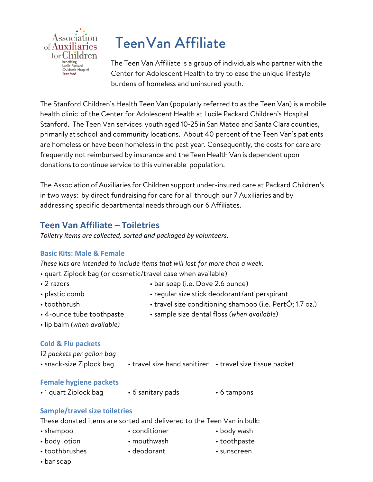

# TeenVan Affiliate

The Teen Van Affiliate is a group of individuals who partner with the Center for Adolescent Health to try to ease the unique lifestyle burdens of homeless and uninsured youth.

The Stanford Children's Health Teen Van (popularly referred to as the Teen Van) is a mobile health clinic of the Center for Adolescent Health at Lucile Packard Children's Hospital Stanford. The Teen Van services youth aged 10‐25 in San Mateo and Santa Clara counties, primarily at school and community locations. About 40 percent of the Teen Van's patients are homeless or have been homeless in the past year. Consequently, the costs for care are frequently not reimbursed by insurance and the Teen Health Van is dependent upon donations to continue service to this vulnerable population.

The Association ofAuxiliaries for Children support under-insured care at Packard Children's in two ways: by direct fundraising for care for all through our 7 Auxiliaries and by addressing specific departmental needs through our 6 Affiliates.

## **Teen Van Affiliate – Toiletries**

*Toiletry items are collected, sorted and packaged by volunteers.*

#### **Basic Kits: Male & Female**

*These kits are intended to include items that will last for more than a week.*

- quart Ziplock bag (or cosmetic/travel case when available)
- 
- 2 razors bar soap (i.e. Dove 2.6 ounce)
- -
	- plastic comb regular size stick deodorant/antiperspirant
	- toothbrush travel size conditioning shampoo (i.e. PertO; 1.7 oz.)
	- 4-ounce tube toothpaste sample size dental floss *(when available)*
	- lip balm *(when available)*

#### **Cold & Flu packets**

*12 packets per gallon bag*

• snack-size Ziplock bag • travel size hand sanitizer • travel size tissue packet

#### **Female hygiene packets**

• 1 quart Ziplock bag • 6 sanitary pads • 6 tampons

#### **Sample/travel size toiletries**

These donated items are sorted and delivered to the Teen Van in bulk:

- shampoo conditioner body wash
	-
- body lotion mouthwash toothpaste
- toothbrushes deodorant • sunscreen
- 
- 
- 

• bar soap